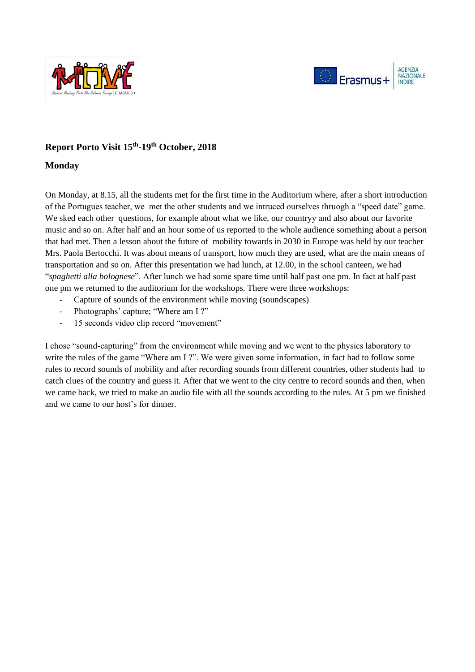



# **Report Porto Visit 15th -19th October, 2018**

# **Monday**

On Monday, at 8.15, all the students met for the first time in the Auditorium where, after a short introduction of the Portugues teacher, we met the other students and we intruced ourselves thruogh a "speed date" game. We sked each other questions, for example about what we like, our countryy and also about our favorite music and so on. After half and an hour some of us reported to the whole audience something about a person that had met. Then a lesson about the future of mobility towards in 2030 in Europe was held by our teacher Mrs. Paola Bertocchi. It was about means of transport, how much they are used, what are the main means of transportation and so on. After this presentation we had lunch, at 12.00, in the school canteen, we had "*spaghetti alla bolognese*". After lunch we had some spare time until half past one pm. In fact at half past one pm we returned to the auditorium for the workshops. There were three workshops:

- Capture of sounds of the environment while moving (soundscapes)
- Photographs' capture; "Where am I ?"
- 15 seconds video clip record "movement"

I chose "sound-capturing" from the environment while moving and we went to the physics laboratory to write the rules of the game "Where am I ?". We were given some information, in fact had to follow some rules to record sounds of mobility and after recording sounds from different countries, other students had to catch clues of the country and guess it. After that we went to the city centre to record sounds and then, when we came back, we tried to make an audio file with all the sounds according to the rules. At 5 pm we finished and we came to our host's for dinner.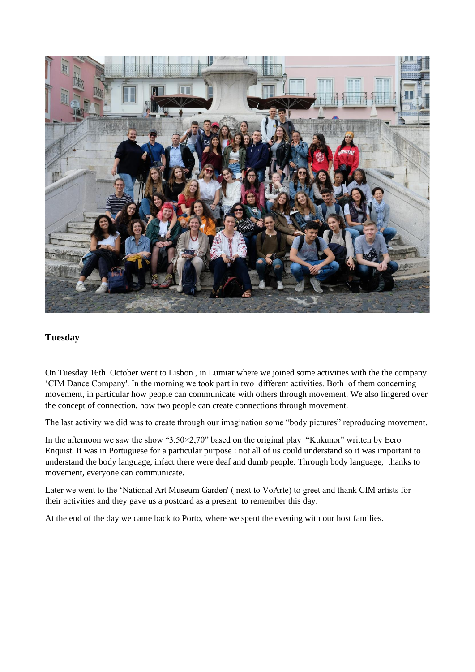

# **Tuesday**

On Tuesday 16th October went to Lisbon , in Lumiar where we joined some activities with the the company 'CIM Dance Company'. In the morning we took part in two different activities. Both of them concerning movement, in particular how people can communicate with others through movement. We also lingered over the concept of connection, how two people can create connections through movement.

The last activity we did was to create through our imagination some "body pictures" reproducing movement.

In the afternoon we saw the show " $3,50\times2,70$ " based on the original play "Kukunor" written by Eero Enquist. It was in Portuguese for a particular purpose : not all of us could understand so it was important to understand the body language, infact there were deaf and dumb people. Through body language, thanks to movement, everyone can communicate.

Later we went to the 'National Art Museum Garden' ( next to VoArte) to greet and thank CIM artists for their activities and they gave us a postcard as a present to remember this day.

At the end of the day we came back to Porto, where we spent the evening with our host families.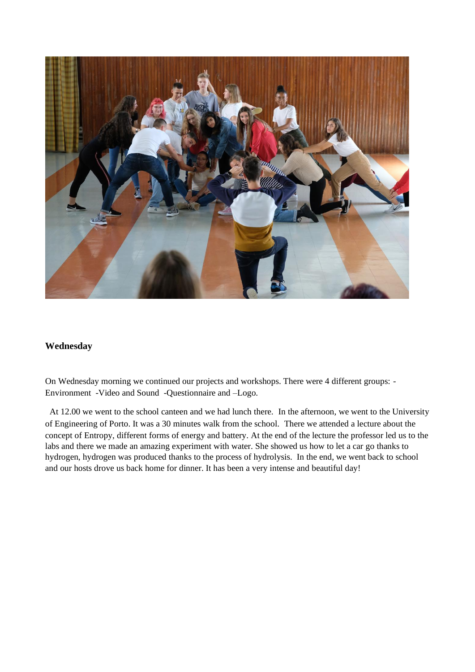

# **Wednesday**

On Wednesday morning we continued our projects and workshops. There were 4 different groups: - Environment -Video and Sound -Questionnaire and –Logo.

At 12.00 we went to the school canteen and we had lunch there. In the afternoon, we went to the University of Engineering of Porto. It was a 30 minutes walk from the school. There we attended a lecture about the concept of Entropy, different forms of energy and battery. At the end of the lecture the professor led us to the labs and there we made an amazing experiment with water. She showed us how to let a car go thanks to hydrogen, hydrogen was produced thanks to the process of hydrolysis. In the end, we went back to school and our hosts drove us back home for dinner. It has been a very intense and beautiful day!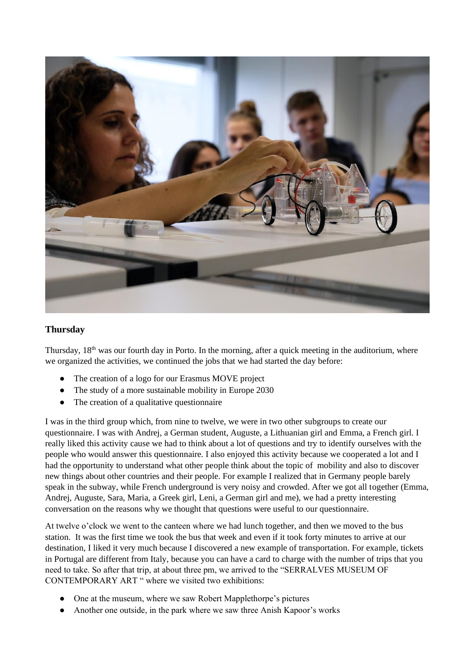

# **Thursday**

Thursday,  $18<sup>th</sup>$  was our fourth day in Porto. In the morning, after a quick meeting in the auditorium, where we organized the activities, we continued the jobs that we had started the day before:

- The creation of a logo for our Erasmus MOVE project
- The study of a more sustainable mobility in Europe 2030
- The creation of a qualitative questionnaire

I was in the third group which, from nine to twelve, we were in two other subgroups to create our questionnaire. I was with Andrej, a German student, Auguste, a Lithuanian girl and Emma, a French girl. I really liked this activity cause we had to think about a lot of questions and try to identify ourselves with the people who would answer this questionnaire. I also enjoyed this activity because we cooperated a lot and I had the opportunity to understand what other people think about the topic of mobility and also to discover new things about other countries and their people. For example I realized that in Germany people barely speak in the subway, while French underground is very noisy and crowded. After we got all together (Emma, Andrej, Auguste, Sara, Maria, a Greek girl, Leni, a German girl and me), we had a pretty interesting conversation on the reasons why we thought that questions were useful to our questionnaire.

At twelve o'clock we went to the canteen where we had lunch together, and then we moved to the bus station. It was the first time we took the bus that week and even if it took forty minutes to arrive at our destination, I liked it very much because I discovered a new example of transportation. For example, tickets in Portugal are different from Italy, because you can have a card to charge with the number of trips that you need to take. So after that trip, at about three pm, we arrived to the "SERRALVES MUSEUM OF CONTEMPORARY ART " where we visited two exhibitions:

- One at the museum, where we saw Robert Mapplethorpe's pictures
- Another one outside, in the park where we saw three Anish Kapoor's works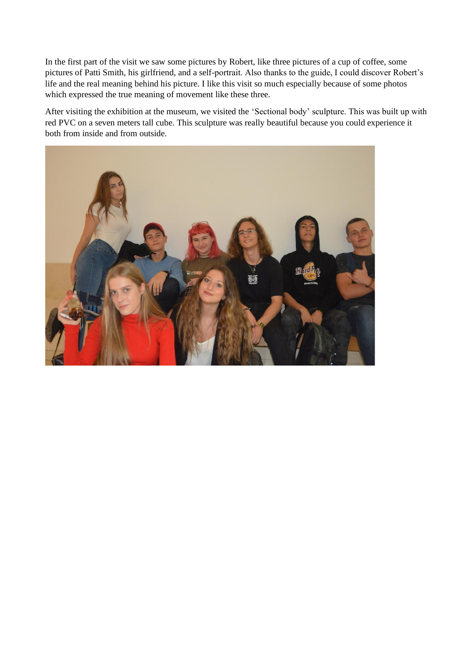In the first part of the visit we saw some pictures by Robert, like three pictures of a cup of coffee, some pictures of Patti Smith, his girlfriend, and a self-portrait. Also thanks to the guide, I could discover Robert's life and the real meaning behind his picture. I like this visit so much especially because of some photos which expressed the true meaning of movement like these three.

After visiting the exhibition at the museum, we visited the 'Sectional body' sculpture. This was built up with red PVC on a seven meters tall cube. This sculpture was really beautiful because you could experience it both from inside and from outside.

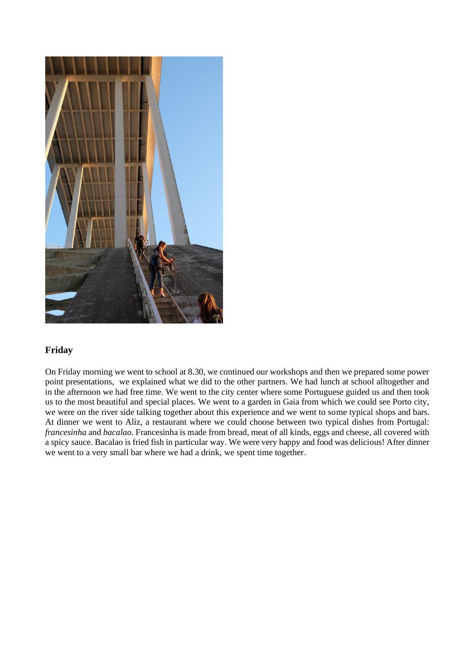

# **Friday**

On Friday morning we went to school at 8.30, we continued our workshops and then we prepared some power point presentations, we explained what we did to the other partners. We had lunch at school alltogether and in the afternoon we had free time. We went to the city center where some Portuguese guided us and then took us to the most beautiful and special places. We went to a garden in Gaia from which we could see Porto city, we were on the river side talking together about this experience and we went to some typical shops and bars. At dinner we went to Aliz, a restaurant where we could choose between two typical dishes from Portugal: *francesinha* and *bacalao*. Francesinha is made from bread, meat of all kinds, eggs and cheese, all covered with a spicy sauce. Bacalao is fried fish in particular way. We were very happy and food was delicious! After dinner we went to a very small bar where we had a drink, we spent time together.